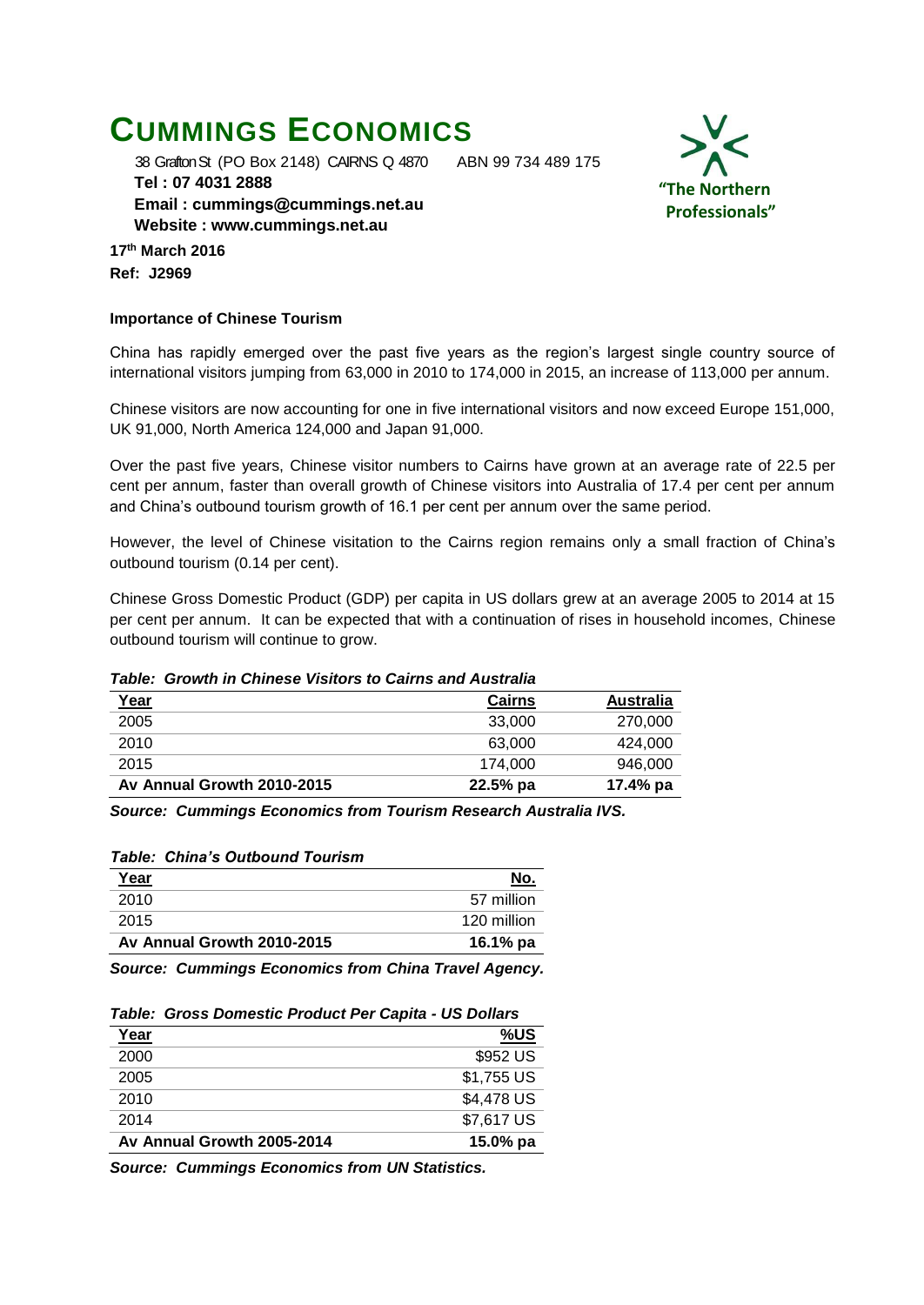# **CUMMINGS ECONOMICS**

38 Grafton St (PO Box 2148) CAIRNS Q 4870 ABN 99 734 489 175

 **Tel : 07 4031 2888 Email : [cummings@cummings.net.au](mailto:cummings@cummings.net.au) Website : www.cummings.net.au**

**17th March 2016 Ref: J2969**

## **Importance of Chinese Tourism**

China has rapidly emerged over the past five years as the region's largest single country source of international visitors jumping from 63,000 in 2010 to 174,000 in 2015, an increase of 113,000 per annum.

Chinese visitors are now accounting for one in five international visitors and now exceed Europe 151,000, UK 91,000, North America 124,000 and Japan 91,000.

Over the past five years, Chinese visitor numbers to Cairns have grown at an average rate of 22.5 per cent per annum, faster than overall growth of Chinese visitors into Australia of 17.4 per cent per annum and China's outbound tourism growth of 16.1 per cent per annum over the same period.

However, the level of Chinese visitation to the Cairns region remains only a small fraction of China's outbound tourism (0.14 per cent).

Chinese Gross Domestic Product (GDP) per capita in US dollars grew at an average 2005 to 2014 at 15 per cent per annum. It can be expected that with a continuation of rises in household incomes, Chinese outbound tourism will continue to grow.

### *Table: Growth in Chinese Visitors to Cairns and Australia*

| <u>Year</u>                | <b>Cairns</b> | <b>Australia</b> |
|----------------------------|---------------|------------------|
| 2005                       | 33,000        | 270,000          |
| 2010                       | 63,000        | 424.000          |
| 2015                       | 174.000       | 946.000          |
| Av Annual Growth 2010-2015 | $22.5%$ pa    | 17.4% pa         |

*Source: Cummings Economics from Tourism Research Australia IVS.*

#### *Table: China's Outbound Tourism*

| <u>Year</u>                | No.         |
|----------------------------|-------------|
| 2010                       | 57 million  |
| 2015                       | 120 million |
| Av Annual Growth 2010-2015 | 16.1% pa    |

*Source: Cummings Economics from China Travel Agency.*

| Year                       | %US        |
|----------------------------|------------|
| 2000                       | \$952 US   |
| 2005                       | \$1,755 US |
| 2010                       | \$4,478 US |
| 2014                       | \$7,617 US |
| Av Annual Growth 2005-2014 | 15.0% pa   |

*Source: Cummings Economics from UN Statistics.*